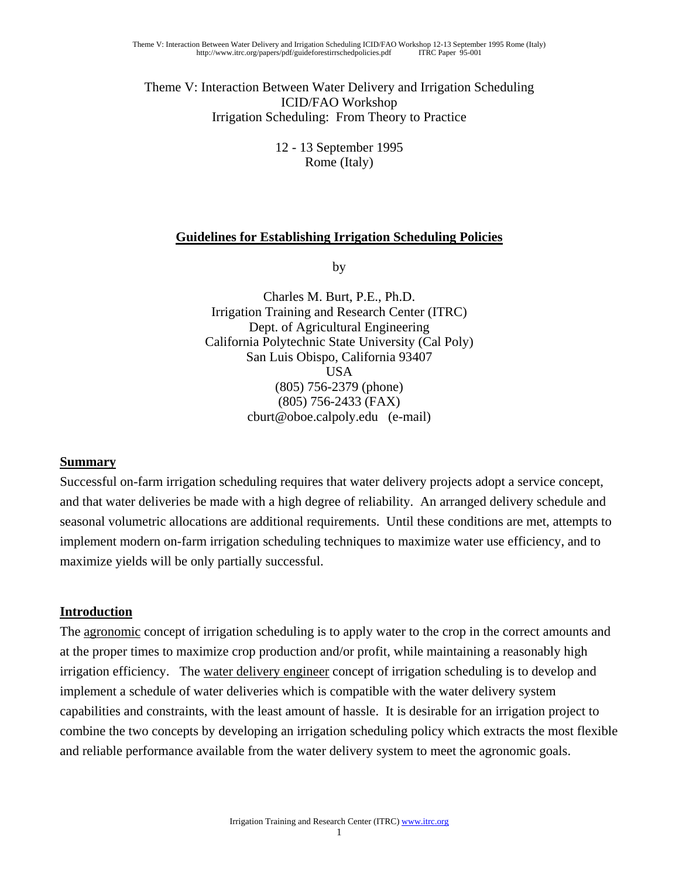Theme V: Interaction Between Water Delivery and Irrigation Scheduling ICID/FAO Workshop Irrigation Scheduling: From Theory to Practice

> 12 - 13 September 1995 Rome (Italy)

### **Guidelines for Establishing Irrigation Scheduling Policies**

by

Charles M. Burt, P.E., Ph.D. Irrigation Training and Research Center (ITRC) Dept. of Agricultural Engineering California Polytechnic State University (Cal Poly) San Luis Obispo, California 93407 USA (805) 756-2379 (phone) (805) 756-2433 (FAX) cburt@oboe.calpoly.edu (e-mail)

### **Summary**

Successful on-farm irrigation scheduling requires that water delivery projects adopt a service concept, and that water deliveries be made with a high degree of reliability. An arranged delivery schedule and seasonal volumetric allocations are additional requirements. Until these conditions are met, attempts to implement modern on-farm irrigation scheduling techniques to maximize water use efficiency, and to maximize yields will be only partially successful.

### **Introduction**

The <u>agronomic</u> concept of irrigation scheduling is to apply water to the crop in the correct amounts and at the proper times to maximize crop production and/or profit, while maintaining a reasonably high irrigation efficiency. The water delivery engineer concept of irrigation scheduling is to develop and implement a schedule of water deliveries which is compatible with the water delivery system capabilities and constraints, with the least amount of hassle. It is desirable for an irrigation project to combine the two concepts by developing an irrigation scheduling policy which extracts the most flexible and reliable performance available from the water delivery system to meet the agronomic goals.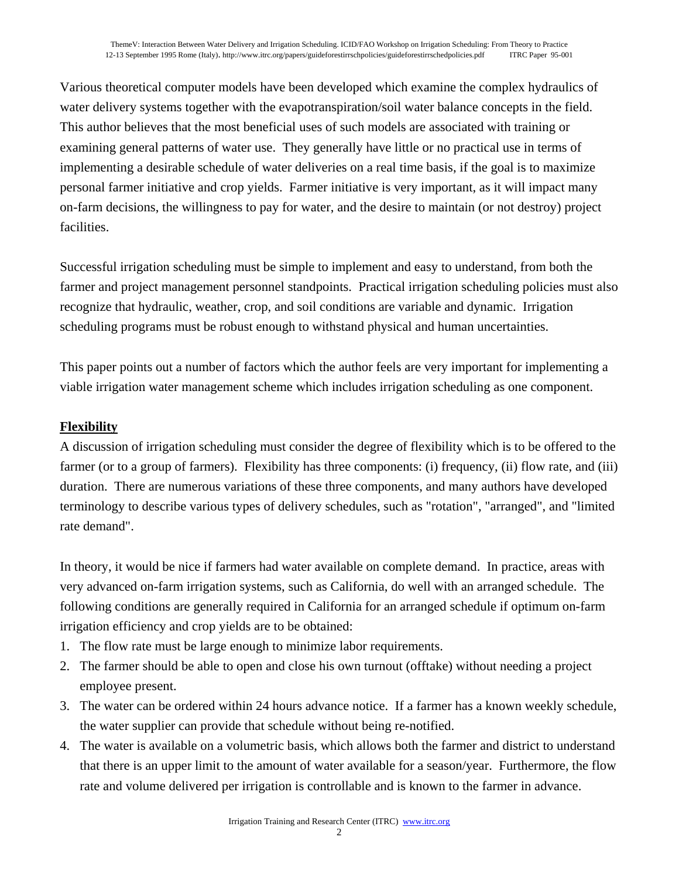Various theoretical computer models have been developed which examine the complex hydraulics of water delivery systems together with the evapotranspiration/soil water balance concepts in the field. This author believes that the most beneficial uses of such models are associated with training or examining general patterns of water use. They generally have little or no practical use in terms of implementing a desirable schedule of water deliveries on a real time basis, if the goal is to maximize personal farmer initiative and crop yields. Farmer initiative is very important, as it will impact many on-farm decisions, the willingness to pay for water, and the desire to maintain (or not destroy) project facilities.

Successful irrigation scheduling must be simple to implement and easy to understand, from both the farmer and project management personnel standpoints. Practical irrigation scheduling policies must also recognize that hydraulic, weather, crop, and soil conditions are variable and dynamic. Irrigation scheduling programs must be robust enough to withstand physical and human uncertainties.

This paper points out a number of factors which the author feels are very important for implementing a viable irrigation water management scheme which includes irrigation scheduling as one component.

# **Flexibility**

A discussion of irrigation scheduling must consider the degree of flexibility which is to be offered to the farmer (or to a group of farmers). Flexibility has three components: (i) frequency, (ii) flow rate, and (iii) duration. There are numerous variations of these three components, and many authors have developed terminology to describe various types of delivery schedules, such as "rotation", "arranged", and "limited rate demand".

In theory, it would be nice if farmers had water available on complete demand. In practice, areas with very advanced on-farm irrigation systems, such as California, do well with an arranged schedule. The following conditions are generally required in California for an arranged schedule if optimum on-farm irrigation efficiency and crop yields are to be obtained:

- 1. The flow rate must be large enough to minimize labor requirements.
- 2. The farmer should be able to open and close his own turnout (offtake) without needing a project employee present.
- 3. The water can be ordered within 24 hours advance notice. If a farmer has a known weekly schedule, the water supplier can provide that schedule without being re-notified.
- 4. The water is available on a volumetric basis, which allows both the farmer and district to understand that there is an upper limit to the amount of water available for a season/year. Furthermore, the flow rate and volume delivered per irrigation is controllable and is known to the farmer in advance.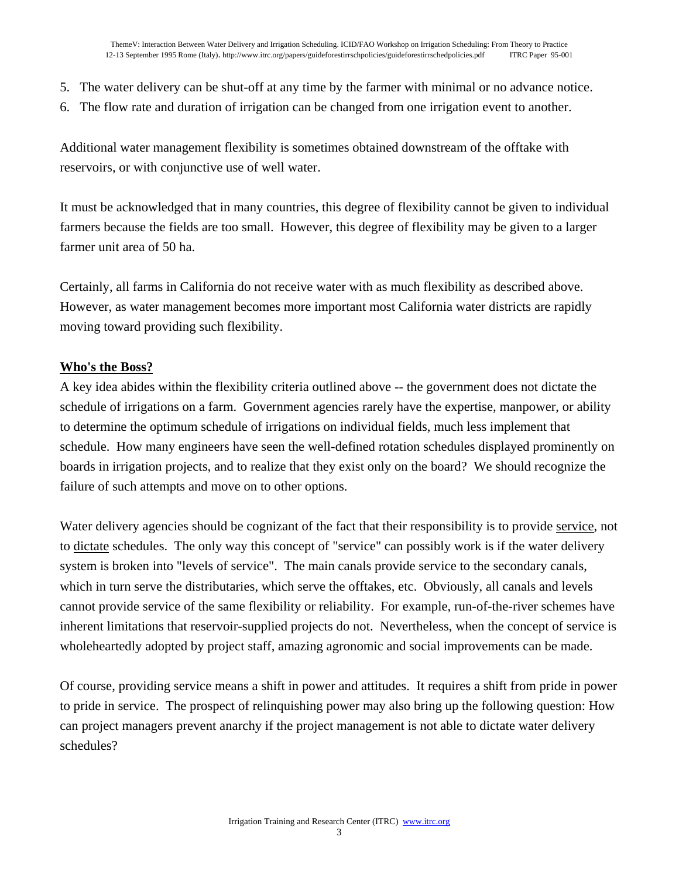- 5. The water delivery can be shut-off at any time by the farmer with minimal or no advance notice.
- 6. The flow rate and duration of irrigation can be changed from one irrigation event to another.

Additional water management flexibility is sometimes obtained downstream of the offtake with reservoirs, or with conjunctive use of well water.

It must be acknowledged that in many countries, this degree of flexibility cannot be given to individual farmers because the fields are too small. However, this degree of flexibility may be given to a larger farmer unit area of 50 ha.

Certainly, all farms in California do not receive water with as much flexibility as described above. However, as water management becomes more important most California water districts are rapidly moving toward providing such flexibility.

#### **Who's the Boss?**

A key idea abides within the flexibility criteria outlined above -- the government does not dictate the schedule of irrigations on a farm. Government agencies rarely have the expertise, manpower, or ability to determine the optimum schedule of irrigations on individual fields, much less implement that schedule. How many engineers have seen the well-defined rotation schedules displayed prominently on boards in irrigation projects, and to realize that they exist only on the board? We should recognize the failure of such attempts and move on to other options.

Water delivery agencies should be cognizant of the fact that their responsibility is to provide service, not to dictate schedules. The only way this concept of "service" can possibly work is if the water delivery system is broken into "levels of service". The main canals provide service to the secondary canals, which in turn serve the distributaries, which serve the offtakes, etc. Obviously, all canals and levels cannot provide service of the same flexibility or reliability. For example, run-of-the-river schemes have inherent limitations that reservoir-supplied projects do not. Nevertheless, when the concept of service is wholeheartedly adopted by project staff, amazing agronomic and social improvements can be made.

Of course, providing service means a shift in power and attitudes. It requires a shift from pride in power to pride in service. The prospect of relinquishing power may also bring up the following question: How can project managers prevent anarchy if the project management is not able to dictate water delivery schedules?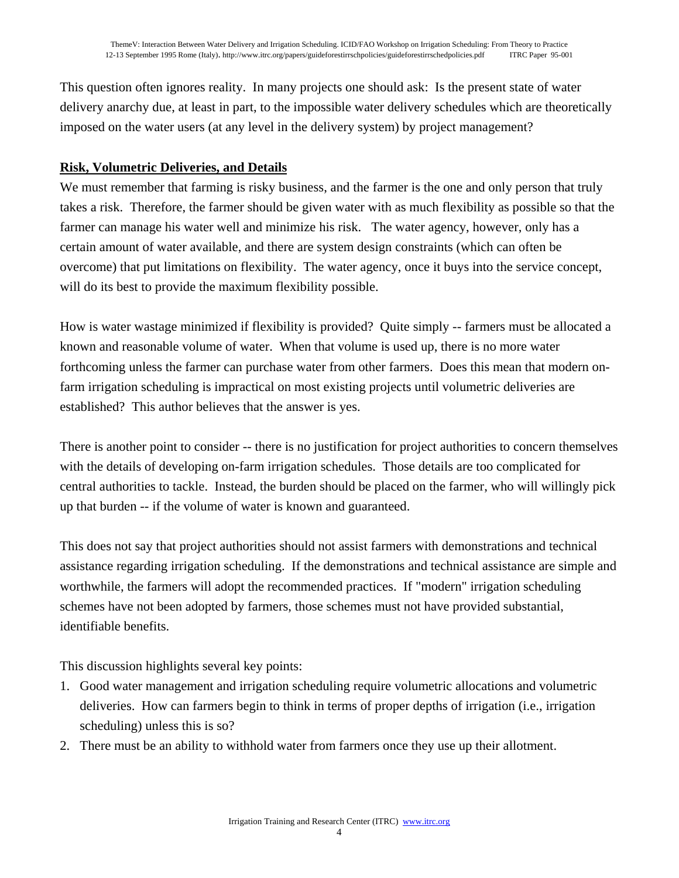This question often ignores reality. In many projects one should ask: Is the present state of water delivery anarchy due, at least in part, to the impossible water delivery schedules which are theoretically imposed on the water users (at any level in the delivery system) by project management?

## **Risk, Volumetric Deliveries, and Details**

We must remember that farming is risky business, and the farmer is the one and only person that truly takes a risk. Therefore, the farmer should be given water with as much flexibility as possible so that the farmer can manage his water well and minimize his risk. The water agency, however, only has a certain amount of water available, and there are system design constraints (which can often be overcome) that put limitations on flexibility. The water agency, once it buys into the service concept, will do its best to provide the maximum flexibility possible.

How is water wastage minimized if flexibility is provided? Quite simply -- farmers must be allocated a known and reasonable volume of water. When that volume is used up, there is no more water forthcoming unless the farmer can purchase water from other farmers. Does this mean that modern onfarm irrigation scheduling is impractical on most existing projects until volumetric deliveries are established? This author believes that the answer is yes.

There is another point to consider -- there is no justification for project authorities to concern themselves with the details of developing on-farm irrigation schedules. Those details are too complicated for central authorities to tackle. Instead, the burden should be placed on the farmer, who will willingly pick up that burden -- if the volume of water is known and guaranteed.

This does not say that project authorities should not assist farmers with demonstrations and technical assistance regarding irrigation scheduling. If the demonstrations and technical assistance are simple and worthwhile, the farmers will adopt the recommended practices. If "modern" irrigation scheduling schemes have not been adopted by farmers, those schemes must not have provided substantial, identifiable benefits.

This discussion highlights several key points:

- 1. Good water management and irrigation scheduling require volumetric allocations and volumetric deliveries. How can farmers begin to think in terms of proper depths of irrigation (i.e., irrigation scheduling) unless this is so?
- 2. There must be an ability to withhold water from farmers once they use up their allotment.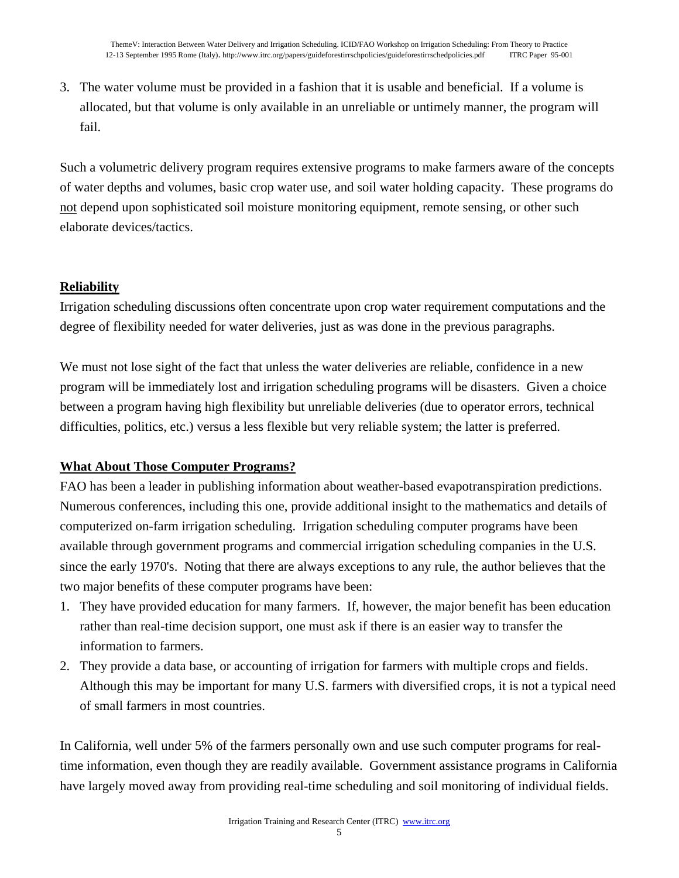3. The water volume must be provided in a fashion that it is usable and beneficial. If a volume is allocated, but that volume is only available in an unreliable or untimely manner, the program will fail.

Such a volumetric delivery program requires extensive programs to make farmers aware of the concepts of water depths and volumes, basic crop water use, and soil water holding capacity. These programs do not depend upon sophisticated soil moisture monitoring equipment, remote sensing, or other such elaborate devices/tactics.

## **Reliability**

Irrigation scheduling discussions often concentrate upon crop water requirement computations and the degree of flexibility needed for water deliveries, just as was done in the previous paragraphs.

We must not lose sight of the fact that unless the water deliveries are reliable, confidence in a new program will be immediately lost and irrigation scheduling programs will be disasters. Given a choice between a program having high flexibility but unreliable deliveries (due to operator errors, technical difficulties, politics, etc.) versus a less flexible but very reliable system; the latter is preferred.

## **What About Those Computer Programs?**

FAO has been a leader in publishing information about weather-based evapotranspiration predictions. Numerous conferences, including this one, provide additional insight to the mathematics and details of computerized on-farm irrigation scheduling. Irrigation scheduling computer programs have been available through government programs and commercial irrigation scheduling companies in the U.S. since the early 1970's. Noting that there are always exceptions to any rule, the author believes that the two major benefits of these computer programs have been:

- 1. They have provided education for many farmers. If, however, the major benefit has been education rather than real-time decision support, one must ask if there is an easier way to transfer the information to farmers.
- 2. They provide a data base, or accounting of irrigation for farmers with multiple crops and fields. Although this may be important for many U.S. farmers with diversified crops, it is not a typical need of small farmers in most countries.

In California, well under 5% of the farmers personally own and use such computer programs for realtime information, even though they are readily available. Government assistance programs in California have largely moved away from providing real-time scheduling and soil monitoring of individual fields.